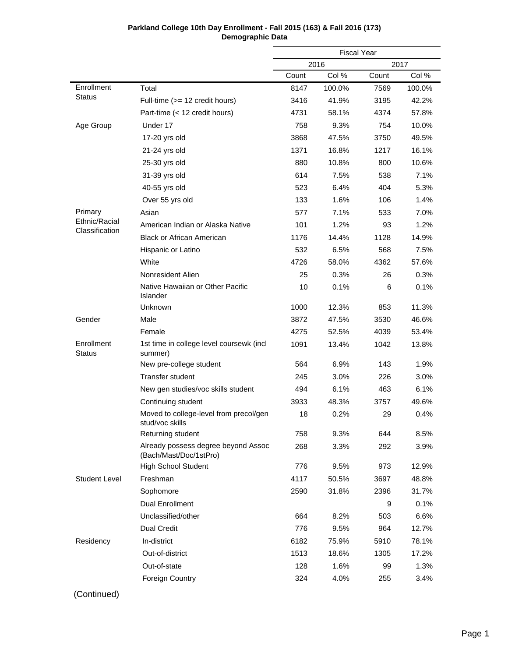# **Parkland College 10th Day Enrollment - Fall 2015 (163) & Fall 2016 (173) Demographic Data**

|                                 |                                                               | <b>Fiscal Year</b> |        |       |        |  |
|---------------------------------|---------------------------------------------------------------|--------------------|--------|-------|--------|--|
|                                 |                                                               |                    | 2016   | 2017  |        |  |
|                                 |                                                               | Count              | Col %  | Count | Col %  |  |
| Enrollment                      | Total                                                         | 8147               | 100.0% | 7569  | 100.0% |  |
| <b>Status</b>                   | Full-time (>= 12 credit hours)                                | 3416               | 41.9%  | 3195  | 42.2%  |  |
|                                 | Part-time (< 12 credit hours)                                 | 4731               | 58.1%  | 4374  | 57.8%  |  |
| Age Group                       | Under 17                                                      | 758                | 9.3%   | 754   | 10.0%  |  |
|                                 | 17-20 yrs old                                                 | 3868               | 47.5%  | 3750  | 49.5%  |  |
|                                 | 21-24 yrs old                                                 | 1371               | 16.8%  | 1217  | 16.1%  |  |
|                                 | 25-30 yrs old                                                 | 880                | 10.8%  | 800   | 10.6%  |  |
|                                 | 31-39 yrs old                                                 | 614                | 7.5%   | 538   | 7.1%   |  |
|                                 | 40-55 yrs old                                                 | 523                | 6.4%   | 404   | 5.3%   |  |
|                                 | Over 55 yrs old                                               | 133                | 1.6%   | 106   | 1.4%   |  |
| Primary                         | Asian                                                         | 577                | 7.1%   | 533   | 7.0%   |  |
| Ethnic/Racial<br>Classification | American Indian or Alaska Native                              | 101                | 1.2%   | 93    | 1.2%   |  |
|                                 | <b>Black or African American</b>                              | 1176               | 14.4%  | 1128  | 14.9%  |  |
|                                 | Hispanic or Latino                                            | 532                | 6.5%   | 568   | 7.5%   |  |
|                                 | White                                                         | 4726               | 58.0%  | 4362  | 57.6%  |  |
|                                 | Nonresident Alien                                             | 25                 | 0.3%   | 26    | 0.3%   |  |
|                                 | Native Hawaiian or Other Pacific<br>Islander                  | 10                 | 0.1%   | 6     | 0.1%   |  |
|                                 | Unknown                                                       | 1000               | 12.3%  | 853   | 11.3%  |  |
| Gender                          | Male                                                          | 3872               | 47.5%  | 3530  | 46.6%  |  |
|                                 | Female                                                        | 4275               | 52.5%  | 4039  | 53.4%  |  |
| Enrollment<br><b>Status</b>     | 1st time in college level coursewk (incl<br>summer)           | 1091               | 13.4%  | 1042  | 13.8%  |  |
|                                 | New pre-college student                                       | 564                | 6.9%   | 143   | 1.9%   |  |
|                                 | <b>Transfer student</b>                                       | 245                | 3.0%   | 226   | 3.0%   |  |
|                                 | New gen studies/voc skills student                            | 494                | 6.1%   | 463   | 6.1%   |  |
|                                 | Continuing student                                            | 3933               | 48.3%  | 3757  | 49.6%  |  |
|                                 | Moved to college-level from precol/gen<br>stud/voc skills     | 18                 | 0.2%   | 29    | 0.4%   |  |
|                                 | Returning student                                             | 758                | 9.3%   | 644   | 8.5%   |  |
|                                 | Already possess degree beyond Assoc<br>(Bach/Mast/Doc/1stPro) | 268                | 3.3%   | 292   | 3.9%   |  |
|                                 | <b>High School Student</b>                                    | 776                | 9.5%   | 973   | 12.9%  |  |
| <b>Student Level</b>            | Freshman                                                      | 4117               | 50.5%  | 3697  | 48.8%  |  |
|                                 | Sophomore                                                     | 2590               | 31.8%  | 2396  | 31.7%  |  |
|                                 | <b>Dual Enrollment</b>                                        |                    |        | 9     | 0.1%   |  |
|                                 | Unclassified/other                                            | 664                | 8.2%   | 503   | 6.6%   |  |
|                                 | <b>Dual Credit</b>                                            | 776                | 9.5%   | 964   | 12.7%  |  |
| Residency                       | In-district                                                   | 6182               | 75.9%  | 5910  | 78.1%  |  |
|                                 | Out-of-district                                               | 1513               | 18.6%  | 1305  | 17.2%  |  |
|                                 | Out-of-state                                                  | 128                | 1.6%   | 99    | 1.3%   |  |
|                                 | <b>Foreign Country</b>                                        | 324                | 4.0%   | 255   | 3.4%   |  |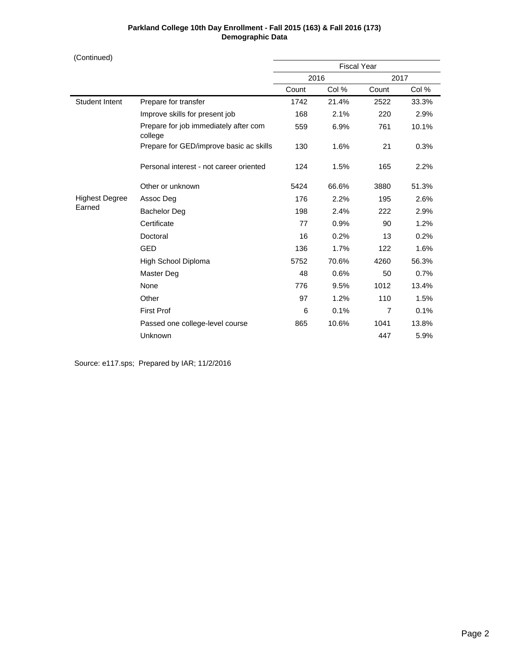## **Parkland College 10th Day Enrollment - Fall 2015 (163) & Fall 2016 (173) Demographic Data**

(Continued)

|                       |                                                  | <b>Fiscal Year</b> |       |                |       |
|-----------------------|--------------------------------------------------|--------------------|-------|----------------|-------|
|                       |                                                  |                    | 2016  |                | 2017  |
|                       |                                                  | Count              | Col % | Count          | Col % |
| Student Intent        | Prepare for transfer                             | 1742               | 21.4% | 2522           | 33.3% |
|                       | Improve skills for present job                   | 168                | 2.1%  | 220            | 2.9%  |
|                       | Prepare for job immediately after com<br>college | 559                | 6.9%  | 761            | 10.1% |
|                       | Prepare for GED/improve basic ac skills          | 130                | 1.6%  | 21             | 0.3%  |
|                       | Personal interest - not career oriented          | 124                | 1.5%  | 165            | 2.2%  |
|                       | Other or unknown                                 | 5424               | 66.6% | 3880           | 51.3% |
| <b>Highest Degree</b> | Assoc Deg                                        | 176                | 2.2%  | 195            | 2.6%  |
| Earned                | <b>Bachelor Deg</b>                              | 198                | 2.4%  | 222            | 2.9%  |
|                       | Certificate                                      | 77                 | 0.9%  | 90             | 1.2%  |
|                       | Doctoral                                         | 16                 | 0.2%  | 13             | 0.2%  |
|                       | <b>GED</b>                                       | 136                | 1.7%  | 122            | 1.6%  |
|                       | High School Diploma                              | 5752               | 70.6% | 4260           | 56.3% |
|                       | Master Deg                                       | 48                 | 0.6%  | 50             | 0.7%  |
|                       | None                                             | 776                | 9.5%  | 1012           | 13.4% |
|                       | Other                                            | 97                 | 1.2%  | 110            | 1.5%  |
|                       | <b>First Prof</b>                                | 6                  | 0.1%  | $\overline{7}$ | 0.1%  |
|                       | Passed one college-level course                  | 865                | 10.6% | 1041           | 13.8% |
|                       | Unknown                                          |                    |       | 447            | 5.9%  |

Source: e117.sps; Prepared by IAR; 11/2/2016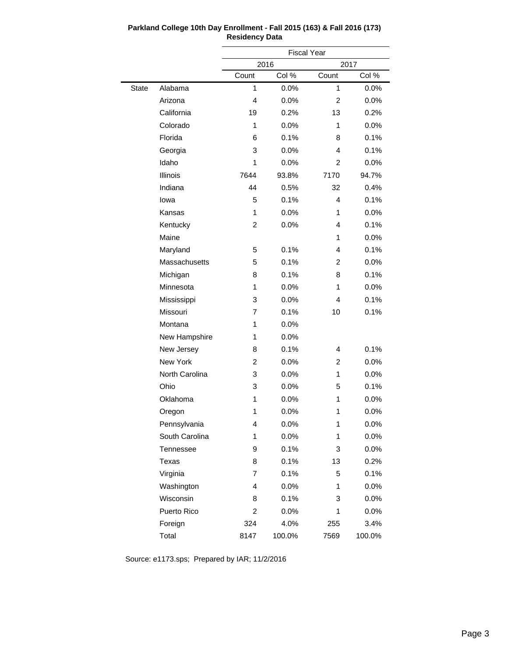|              |                 |                | <b>Fiscal Year</b> |                |        |
|--------------|-----------------|----------------|--------------------|----------------|--------|
|              |                 |                | 2016               |                | 2017   |
|              |                 | Count          | Col %              | Count          | Col %  |
| <b>State</b> | Alabama         | 1              | 0.0%               | 1              | 0.0%   |
|              | Arizona         | 4              | 0.0%               | $\overline{2}$ | 0.0%   |
|              | California      | 19             | 0.2%               | 13             | 0.2%   |
|              | Colorado        | 1              | 0.0%               | 1              | 0.0%   |
|              | Florida         | 6              | 0.1%               | 8              | 0.1%   |
|              | Georgia         | 3              | 0.0%               | 4              | 0.1%   |
|              | Idaho           | 1              | 0.0%               | 2              | 0.0%   |
|              | Illinois        | 7644           | 93.8%              | 7170           | 94.7%  |
|              | Indiana         | 44             | 0.5%               | 32             | 0.4%   |
|              | lowa            | 5              | 0.1%               | 4              | 0.1%   |
|              | Kansas          | 1              | 0.0%               | 1              | 0.0%   |
|              | Kentucky        | $\overline{2}$ | 0.0%               | 4              | 0.1%   |
|              | Maine           |                |                    | 1              | 0.0%   |
|              | Maryland        | 5              | 0.1%               | 4              | 0.1%   |
|              | Massachusetts   | 5              | 0.1%               | 2              | 0.0%   |
|              | Michigan        | 8              | 0.1%               | 8              | 0.1%   |
|              | Minnesota       | 1              | 0.0%               | 1              | 0.0%   |
|              | Mississippi     | 3              | 0.0%               | 4              | 0.1%   |
|              | Missouri        | $\overline{7}$ | 0.1%               | 10             | 0.1%   |
|              | Montana         | 1              | 0.0%               |                |        |
|              | New Hampshire   | 1              | 0.0%               |                |        |
|              | New Jersey      | 8              | 0.1%               | 4              | 0.1%   |
|              | <b>New York</b> | 2              | 0.0%               | 2              | 0.0%   |
|              | North Carolina  | 3              | 0.0%               | 1              | 0.0%   |
|              | Ohio            | 3              | 0.0%               | 5              | 0.1%   |
|              | Oklahoma        | 1              | 0.0%               | 1              | 0.0%   |
|              | Oregon          | 1              | 0.0%               | 1              | 0.0%   |
|              | Pennsylvania    | 4              | 0.0%               | 1              | 0.0%   |
|              | South Carolina  | 1              | 0.0%               | 1              | 0.0%   |
|              | Tennessee       | 9              | 0.1%               | 3              | 0.0%   |
|              | Texas           | 8              | 0.1%               | 13             | 0.2%   |
|              | Virginia        | $\overline{7}$ | 0.1%               | 5              | 0.1%   |
|              | Washington      | 4              | 0.0%               | 1              | 0.0%   |
|              | Wisconsin       | 8              | 0.1%               | 3              | 0.0%   |
|              | Puerto Rico     | 2              | 0.0%               | 1              | 0.0%   |
|              | Foreign         | 324            | 4.0%               | 255            | 3.4%   |
|              | Total           | 8147           | 100.0%             | 7569           | 100.0% |

## **Parkland College 10th Day Enrollment - Fall 2015 (163) & Fall 2016 (173) Residency Data**

Source: e1173.sps; Prepared by IAR; 11/2/2016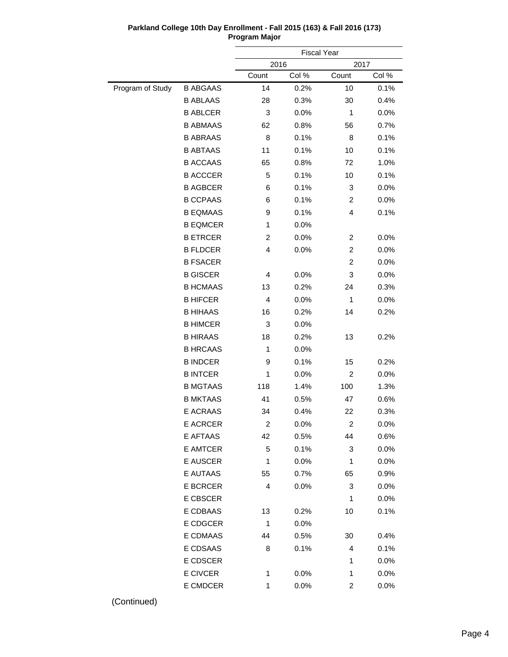# **Parkland College 10th Day Enrollment - Fall 2015 (163) & Fall 2016 (173) Program Major** Fiscal Year 2016 2017 Count Col % Count Col % Prog 14 0.2% 10 0.1%

|               |                 | Count          | Col % | Count                   | Col % |
|---------------|-----------------|----------------|-------|-------------------------|-------|
| gram of Study | <b>B ABGAAS</b> | 14             | 0.2%  | 10                      | 0.1%  |
|               | <b>B ABLAAS</b> | 28             | 0.3%  | 30                      | 0.4%  |
|               | <b>B ABLCER</b> | 3              | 0.0%  | 1                       | 0.0%  |
|               | <b>B ABMAAS</b> | 62             | 0.8%  | 56                      | 0.7%  |
|               | <b>B ABRAAS</b> | 8              | 0.1%  | 8                       | 0.1%  |
|               | <b>B ABTAAS</b> | 11             | 0.1%  | 10                      | 0.1%  |
|               | <b>B ACCAAS</b> | 65             | 0.8%  | 72                      | 1.0%  |
|               | <b>B ACCCER</b> | 5              | 0.1%  | 10                      | 0.1%  |
|               | <b>B AGBCER</b> | 6              | 0.1%  | 3                       | 0.0%  |
|               | <b>B CCPAAS</b> | 6              | 0.1%  | 2                       | 0.0%  |
|               | <b>B EQMAAS</b> | 9              | 0.1%  | 4                       | 0.1%  |
|               | <b>B EQMCER</b> | 1              | 0.0%  |                         |       |
|               | <b>B ETRCER</b> | $\overline{2}$ | 0.0%  | 2                       | 0.0%  |
|               | <b>B FLDCER</b> | 4              | 0.0%  | 2                       | 0.0%  |
|               | <b>B FSACER</b> |                |       | $\overline{c}$          | 0.0%  |
|               | <b>B GISCER</b> | 4              | 0.0%  | 3                       | 0.0%  |
|               | <b>B HCMAAS</b> | 13             | 0.2%  | 24                      | 0.3%  |
|               | <b>B HIFCER</b> | 4              | 0.0%  | 1                       | 0.0%  |
|               | <b>B HIHAAS</b> | 16             | 0.2%  | 14                      | 0.2%  |
|               | <b>B HIMCER</b> | 3              | 0.0%  |                         |       |
|               | <b>B HIRAAS</b> | 18             | 0.2%  | 13                      | 0.2%  |
|               | <b>B HRCAAS</b> | 1              | 0.0%  |                         |       |
|               | <b>B INDCER</b> | 9              | 0.1%  | 15                      | 0.2%  |
|               | <b>B INTCER</b> | 1              | 0.0%  | 2                       | 0.0%  |
|               | <b>B MGTAAS</b> | 118            | 1.4%  | 100                     | 1.3%  |
|               | <b>B MKTAAS</b> | 41             | 0.5%  | 47                      | 0.6%  |
|               | E ACRAAS        | 34             | 0.4%  | 22                      | 0.3%  |
|               | <b>E ACRCER</b> | 2              | 0.0%  | 2                       | 0.0%  |
|               | E AFTAAS        | 42             | 0.5%  | 44                      | 0.6%  |
|               | <b>E AMTCER</b> | 5              | 0.1%  | 3                       | 0.0%  |
|               | E AUSCER        | 1              | 0.0%  | 1                       | 0.0%  |
|               | E AUTAAS        | 55             | 0.7%  | 65                      | 0.9%  |
|               | <b>E BCRCER</b> | 4              | 0.0%  | 3                       | 0.0%  |
|               | E CBSCER        |                |       | 1                       | 0.0%  |
|               | E CDBAAS        | 13             | 0.2%  | 10                      | 0.1%  |
|               | E CDGCER        | 1              | 0.0%  |                         |       |
|               | E CDMAAS        | 44             | 0.5%  | 30                      | 0.4%  |
|               | E CDSAAS        | 8              | 0.1%  | 4                       | 0.1%  |
|               | E CDSCER        |                |       | 1                       | 0.0%  |
|               | E CIVCER        | 1              | 0.0%  | 1                       | 0.0%  |
|               | E CMDCER        | 1              | 0.0%  | $\overline{\mathbf{c}}$ | 0.0%  |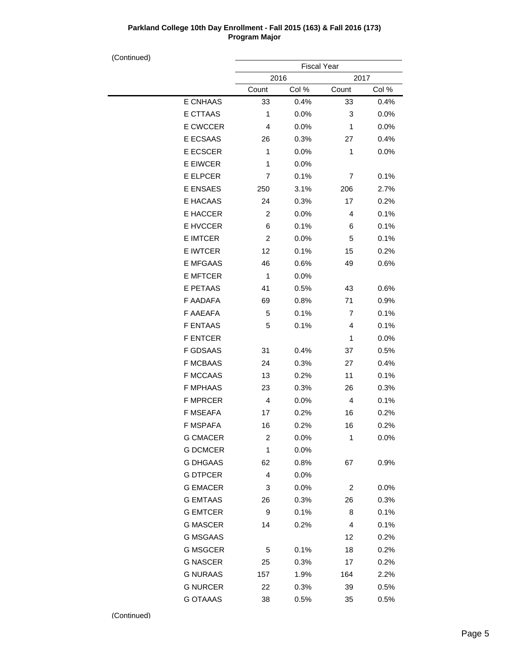# **Parkland College 10th Day Enrollment - Fall 2015 (163) & Fall 2016 (173) Program Major**

| " |                 | <b>Fiscal Year</b> |         |              |       |
|---|-----------------|--------------------|---------|--------------|-------|
|   |                 | 2016               |         | 2017         |       |
|   |                 | Count              | Col %   | Count        | Col % |
|   | <b>E CNHAAS</b> | 33                 | 0.4%    | 33           | 0.4%  |
|   | E CTTAAS        | $\mathbf{1}$       | 0.0%    | 3            | 0.0%  |
|   | E CWCCER        | 4                  | 0.0%    | 1            | 0.0%  |
|   | E ECSAAS        | 26                 | 0.3%    | 27           | 0.4%  |
|   | E ECSCER        | $\mathbf{1}$       | 0.0%    | 1            | 0.0%  |
|   | E EIWCER        | 1                  | 0.0%    |              |       |
|   | E ELPCER        | 7                  | 0.1%    | 7            | 0.1%  |
|   | E ENSAES        | 250                | 3.1%    | 206          | 2.7%  |
|   | E HACAAS        | 24                 | 0.3%    | 17           | 0.2%  |
|   | E HACCER        | 2                  | 0.0%    | 4            | 0.1%  |
|   | E HVCCER        | 6                  | 0.1%    | 6            | 0.1%  |
|   | <b>E IMTCER</b> | 2                  | 0.0%    | 5            | 0.1%  |
|   | E IWTCER        | 12                 | 0.1%    | 15           | 0.2%  |
|   | <b>E MFGAAS</b> | 46                 | 0.6%    | 49           | 0.6%  |
|   | <b>E MFTCER</b> | 1                  | 0.0%    |              |       |
|   | E PETAAS        | 41                 | 0.5%    | 43           | 0.6%  |
|   | F AADAFA        | 69                 | 0.8%    | 71           | 0.9%  |
|   | F AAEAFA        | 5                  | 0.1%    | 7            | 0.1%  |
|   | <b>F ENTAAS</b> | 5                  | 0.1%    | 4            | 0.1%  |
|   | <b>F ENTCER</b> |                    |         | $\mathbf{1}$ | 0.0%  |
|   | F GDSAAS        | 31                 | 0.4%    | 37           | 0.5%  |
|   | <b>F MCBAAS</b> | 24                 | 0.3%    | 27           | 0.4%  |
|   | <b>F MCCAAS</b> | 13                 | 0.2%    | 11           | 0.1%  |
|   | <b>F MPHAAS</b> | 23                 | 0.3%    | 26           | 0.3%  |
|   | <b>F MPRCER</b> | 4                  | 0.0%    | 4            | 0.1%  |
|   | <b>F MSEAFA</b> | 17                 | 0.2%    | 16           | 0.2%  |
|   | F MSPAFA        | 16                 | 0.2%    | 16           | 0.2%  |
|   | <b>G CMACER</b> | 2                  | 0.0%    | 1            | 0.0%  |
|   | <b>G DCMCER</b> | 1                  | 0.0%    |              |       |
|   | <b>G DHGAAS</b> | 62                 | 0.8%    | 67           | 0.9%  |
|   | <b>G DTPCER</b> | 4                  | 0.0%    |              |       |
|   | <b>G EMACER</b> | 3                  | $0.0\%$ | 2            | 0.0%  |
|   | <b>G EMTAAS</b> | 26                 | 0.3%    | 26           | 0.3%  |
|   | <b>G EMTCER</b> | 9                  | 0.1%    | 8            | 0.1%  |
|   | <b>G MASCER</b> | 14                 | 0.2%    | 4            | 0.1%  |
|   | <b>G MSGAAS</b> |                    |         | 12           | 0.2%  |
|   | <b>G MSGCER</b> | 5                  | 0.1%    | 18           | 0.2%  |
|   | <b>G NASCER</b> | 25                 | 0.3%    | 17           | 0.2%  |
|   | <b>G NURAAS</b> | 157                | 1.9%    | 164          | 2.2%  |
|   | <b>G NURCER</b> | 22                 | 0.3%    | 39           | 0.5%  |
|   | <b>G OTAAAS</b> | 38                 | 0.5%    | 35           | 0.5%  |
|   |                 |                    |         |              |       |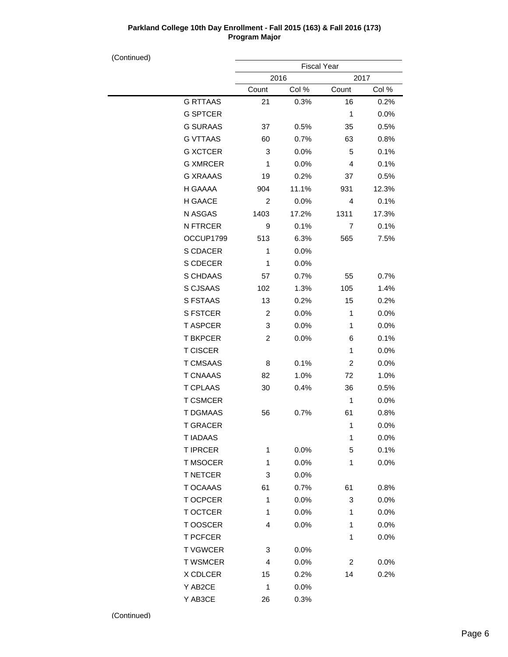#### **Parkland College 10th Day Enrollment - Fall 2015 (163) & Fall 2016 (173) Program Major**

| (Continued) |                 |                         |                    |                |       |
|-------------|-----------------|-------------------------|--------------------|----------------|-------|
|             |                 |                         | <b>Fiscal Year</b> |                |       |
|             |                 | 2016                    |                    | 2017           |       |
|             |                 | Count                   | Col %              | Count          | Col % |
|             | <b>G RTTAAS</b> | 21                      | 0.3%               | 16             | 0.2%  |
|             | <b>G SPTCER</b> |                         |                    | 1              | 0.0%  |
|             | <b>G SURAAS</b> | 37                      | 0.5%               | 35             | 0.5%  |
|             | <b>G VTTAAS</b> | 60                      | 0.7%               | 63             | 0.8%  |
|             | <b>G XCTCER</b> | 3                       | 0.0%               | 5              | 0.1%  |
|             | <b>G XMRCER</b> | 1                       | 0.0%               | 4              | 0.1%  |
|             | <b>G XRAAAS</b> | 19                      | 0.2%               | 37             | 0.5%  |
|             | H GAAAA         | 904                     | 11.1%              | 931            | 12.3% |
|             | H GAACE         | 2                       | 0.0%               | 4              | 0.1%  |
|             | N ASGAS         | 1403                    | 17.2%              | 1311           | 17.3% |
|             | <b>N FTRCER</b> | 9                       | 0.1%               | 7              | 0.1%  |
|             | OCCUP1799       | 513                     | 6.3%               | 565            | 7.5%  |
|             | S CDACER        | 1                       | 0.0%               |                |       |
|             | S CDECER        | 1                       | 0.0%               |                |       |
|             | S CHDAAS        | 57                      | 0.7%               | 55             | 0.7%  |
|             | S CJSAAS        | 102                     | 1.3%               | 105            | 1.4%  |
|             | S FSTAAS        | 13                      | 0.2%               | 15             | 0.2%  |
|             | <b>S FSTCER</b> | $\overline{\mathbf{c}}$ | 0.0%               | 1              | 0.0%  |
|             | <b>T ASPCER</b> | 3                       | 0.0%               | 1              | 0.0%  |
|             | <b>T BKPCER</b> | $\overline{\mathbf{c}}$ | 0.0%               | 6              | 0.1%  |
|             | <b>T CISCER</b> |                         |                    | $\mathbf{1}$   | 0.0%  |
|             | <b>T CMSAAS</b> | 8                       | 0.1%               | $\overline{c}$ | 0.0%  |
|             | <b>T CNAAAS</b> | 82                      | 1.0%               | 72             | 1.0%  |
|             | <b>T CPLAAS</b> | 30                      | 0.4%               | 36             | 0.5%  |
|             | <b>T CSMCER</b> |                         |                    | 1              | 0.0%  |
|             | <b>T DGMAAS</b> | 56                      | 0.7%               | 61             | 0.8%  |
|             | T GRACER        |                         |                    | 1              | 0.0%  |
|             | <b>TIADAAS</b>  |                         |                    | 1              | 0.0%  |
|             | <b>T IPRCER</b> | 1                       | 0.0%               | 5              | 0.1%  |
|             | T MSOCER        | 1                       | 0.0%               | 1              | 0.0%  |
|             | <b>T NETCER</b> | 3                       | 0.0%               |                |       |
|             | <b>T OCAAAS</b> | 61                      | 0.7%               | 61             | 0.8%  |
|             | T OCPCER        | 1                       | 0.0%               | 3              | 0.0%  |
|             | T OCTCER        | 1                       | 0.0%               | 1              | 0.0%  |
|             | T OOSCER        | 4                       | 0.0%               | 1              | 0.0%  |
|             | <b>T PCFCER</b> |                         |                    | 1              | 0.0%  |
|             | <b>T VGWCER</b> | 3                       | 0.0%               |                |       |
|             | <b>T WSMCER</b> | 4                       | 0.0%               | $\overline{c}$ | 0.0%  |
|             | X CDLCER        | 15                      | 0.2%               | 14             | 0.2%  |
|             | Y AB2CE         | 1                       | 0.0%               |                |       |
|             | Y AB3CE         | 26                      | 0.3%               |                |       |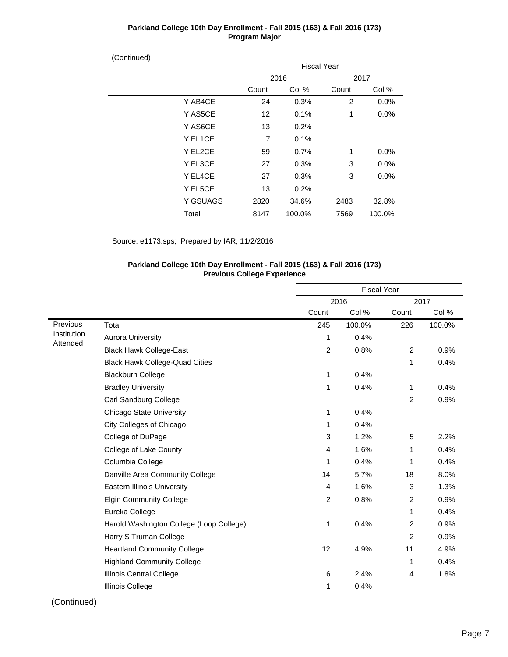## **Parkland College 10th Day Enrollment - Fall 2015 (163) & Fall 2016 (173) Program Major**

| (Continued) |          |                    |        |                |         |
|-------------|----------|--------------------|--------|----------------|---------|
|             |          | <b>Fiscal Year</b> |        |                |         |
|             |          | 2016               |        |                | 2017    |
|             |          | Count              | Col %  | Count          | Col %   |
|             | Y AB4CE  | 24                 | 0.3%   | $\overline{2}$ | 0.0%    |
|             | Y AS5CE  | 12                 | 0.1%   | 1              | 0.0%    |
|             | Y AS6CE  | 13                 | 0.2%   |                |         |
|             | Y EL1CE  | 7                  | 0.1%   |                |         |
|             | Y EL2CE  | 59                 | 0.7%   | 1              | 0.0%    |
|             | Y EL3CE  | 27                 | 0.3%   | 3              | 0.0%    |
|             | Y EL4CE  | 27                 | 0.3%   | 3              | $0.0\%$ |
|             | Y EL5CE  | 13                 | 0.2%   |                |         |
|             | Y GSUAGS | 2820               | 34.6%  | 2483           | 32.8%   |
|             | Total    | 8147               | 100.0% | 7569           | 100.0%  |
|             |          |                    |        |                |         |

Source: e1173.sps; Prepared by IAR; 11/2/2016

## **Parkland College 10th Day Enrollment - Fall 2015 (163) & Fall 2016 (173) Previous College Experience**

|                         |                                          | <b>Fiscal Year</b> |        |                |        |
|-------------------------|------------------------------------------|--------------------|--------|----------------|--------|
|                         |                                          |                    | 2016   |                | 2017   |
|                         |                                          | Count              | Col %  | Count          | Col %  |
| Previous                | Total                                    | 245                | 100.0% | 226            | 100.0% |
| Institution<br>Attended | <b>Aurora University</b>                 | 1                  | 0.4%   |                |        |
|                         | <b>Black Hawk College-East</b>           | $\overline{2}$     | 0.8%   | $\overline{2}$ | 0.9%   |
|                         | <b>Black Hawk College-Quad Cities</b>    |                    |        | 1              | 0.4%   |
|                         | <b>Blackburn College</b>                 | 1                  | 0.4%   |                |        |
|                         | <b>Bradley University</b>                | 1                  | 0.4%   | 1              | 0.4%   |
|                         | Carl Sandburg College                    |                    |        | $\overline{2}$ | 0.9%   |
|                         | <b>Chicago State University</b>          | 1                  | 0.4%   |                |        |
|                         | City Colleges of Chicago                 | 1                  | 0.4%   |                |        |
|                         | College of DuPage                        | 3                  | 1.2%   | 5              | 2.2%   |
|                         | College of Lake County                   | 4                  | 1.6%   | 1              | 0.4%   |
|                         | Columbia College                         | 1                  | 0.4%   | 1              | 0.4%   |
|                         | Danville Area Community College          | 14                 | 5.7%   | 18             | 8.0%   |
|                         | <b>Eastern Illinois University</b>       | 4                  | 1.6%   | 3              | 1.3%   |
|                         | <b>Elgin Community College</b>           | $\overline{c}$     | 0.8%   | $\overline{c}$ | 0.9%   |
|                         | Eureka College                           |                    |        | 1              | 0.4%   |
|                         | Harold Washington College (Loop College) | 1                  | 0.4%   | $\overline{c}$ | 0.9%   |
|                         | Harry S Truman College                   |                    |        | 2              | 0.9%   |
|                         | <b>Heartland Community College</b>       | 12                 | 4.9%   | 11             | 4.9%   |
|                         | <b>Highland Community College</b>        |                    |        | 1              | 0.4%   |
|                         | Illinois Central College                 | 6                  | 2.4%   | 4              | 1.8%   |
|                         | Illinois College                         | 1                  | 0.4%   |                |        |
|                         |                                          |                    |        |                |        |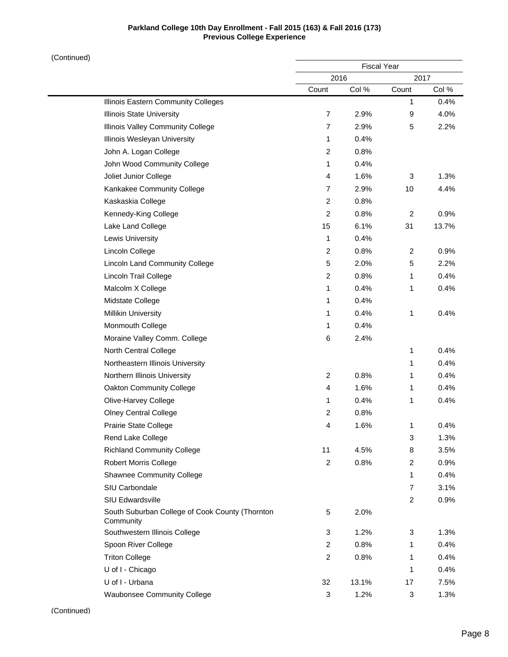## **Parkland College 10th Day Enrollment - Fall 2015 (163) & Fall 2016 (173) Previous College Experience**

(Continued)

| uu j |                                                              | <b>Fiscal Year</b> |       |                |       |  |
|------|--------------------------------------------------------------|--------------------|-------|----------------|-------|--|
|      |                                                              | 2016               |       | 2017           |       |  |
|      |                                                              | Count              | Col % | Count          | Col % |  |
|      | Illinois Eastern Community Colleges                          |                    |       | 1              | 0.4%  |  |
|      | <b>Illinois State University</b>                             | $\overline{7}$     | 2.9%  | 9              | 4.0%  |  |
|      | Illinois Valley Community College                            | $\overline{7}$     | 2.9%  | 5              | 2.2%  |  |
|      | Illinois Wesleyan University                                 | 1                  | 0.4%  |                |       |  |
|      | John A. Logan College                                        | $\overline{c}$     | 0.8%  |                |       |  |
|      | John Wood Community College                                  | 1                  | 0.4%  |                |       |  |
|      | Joliet Junior College                                        | 4                  | 1.6%  | 3              | 1.3%  |  |
|      | Kankakee Community College                                   | $\overline{7}$     | 2.9%  | 10             | 4.4%  |  |
|      | Kaskaskia College                                            | $\overline{c}$     | 0.8%  |                |       |  |
|      | Kennedy-King College                                         | $\overline{c}$     | 0.8%  | $\overline{2}$ | 0.9%  |  |
|      | Lake Land College                                            | 15                 | 6.1%  | 31             | 13.7% |  |
|      | <b>Lewis University</b>                                      | 1                  | 0.4%  |                |       |  |
|      | Lincoln College                                              | $\overline{c}$     | 0.8%  | $\overline{c}$ | 0.9%  |  |
|      | <b>Lincoln Land Community College</b>                        | 5                  | 2.0%  | 5              | 2.2%  |  |
|      | Lincoln Trail College                                        | $\overline{c}$     | 0.8%  | 1              | 0.4%  |  |
|      | Malcolm X College                                            | 1                  | 0.4%  | 1              | 0.4%  |  |
|      | Midstate College                                             | 1                  | 0.4%  |                |       |  |
|      | <b>Millikin University</b>                                   | 1                  | 0.4%  | 1              | 0.4%  |  |
|      | Monmouth College                                             | 1                  | 0.4%  |                |       |  |
|      | Moraine Valley Comm. College                                 | 6                  | 2.4%  |                |       |  |
|      | North Central College                                        |                    |       | 1              | 0.4%  |  |
|      | Northeastern Illinois University                             |                    |       | 1              | 0.4%  |  |
|      | Northern Illinois University                                 | 2                  | 0.8%  | 1              | 0.4%  |  |
|      | Oakton Community College                                     | 4                  | 1.6%  | 1              | 0.4%  |  |
|      | Olive-Harvey College                                         | 1                  | 0.4%  | 1              | 0.4%  |  |
|      | <b>Olney Central College</b>                                 | $\overline{c}$     | 0.8%  |                |       |  |
|      | Prairie State College                                        | 4                  | 1.6%  | 1              | 0.4%  |  |
|      | Rend Lake College                                            |                    |       | 3              | 1.3%  |  |
|      | <b>Richland Community College</b>                            | 11                 | 4.5%  | 8              | 3.5%  |  |
|      | <b>Robert Morris College</b>                                 | $\overline{c}$     | 0.8%  | $\overline{2}$ | 0.9%  |  |
|      | <b>Shawnee Community College</b>                             |                    |       | 1              | 0.4%  |  |
|      | SIU Carbondale                                               |                    |       | 7              | 3.1%  |  |
|      | <b>SIU Edwardsville</b>                                      |                    |       | 2              | 0.9%  |  |
|      | South Suburban College of Cook County (Thornton<br>Community | 5                  | 2.0%  |                |       |  |
|      | Southwestern Illinois College                                | 3                  | 1.2%  | 3              | 1.3%  |  |
|      | Spoon River College                                          | $\overline{2}$     | 0.8%  | 1              | 0.4%  |  |
|      | <b>Triton College</b>                                        | $\overline{c}$     | 0.8%  | 1              | 0.4%  |  |
|      | U of I - Chicago                                             |                    |       | 1              | 0.4%  |  |
|      | U of I - Urbana                                              | 32                 | 13.1% | 17             | 7.5%  |  |
|      | <b>Waubonsee Community College</b>                           | 3                  | 1.2%  | 3              | 1.3%  |  |